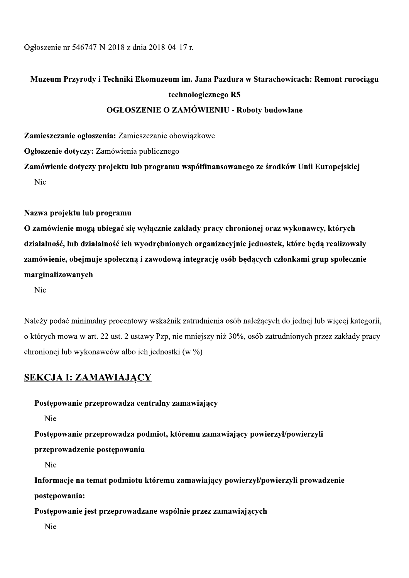Ogłoszenie nr 546747-N-2018 z dnia 2018-04-17 r.

# Muzeum Przyrody i Techniki Ekomuzeum im. Jana Pazdura w Starachowicach: Remont rurociągu technologicznego R5 **OGŁOSZENIE O ZAMÓWIENIU - Roboty budowlane**

Zamieszczanie ogłoszenia: Zamieszczanie obowiązkowe Ogłoszenie dotyczy: Zamówienia publicznego Zamówienie dotyczy projektu lub programu współfinansowanego ze środków Unii Europejskiej

Nie

## Nazwa projektu lub programu

O zamówienie mogą ubiegać się wyłącznie zakłady pracy chronionej oraz wykonawcy, których działalność, lub działalność ich wyodrębnionych organizacyjnie jednostek, które będą realizowały zamówienie, obejmuje społeczną i zawodową integrację osób będących członkami grup społecznie marginalizowanych

Nie

Należy podać minimalny procentowy wskaźnik zatrudnienia osób należących do jednej lub więcej kategorii, o których mowa w art. 22 ust. 2 ustawy Pzp, nie mniejszy niż 30%, osób zatrudnionych przez zakłady pracy chronionej lub wykonawców albo ich jednostki (w %)

## **SEKCJA I: ZAMAWIAJĄCY**

Postępowanie przeprowadza centralny zamawiający

Nie

Postępowanie przeprowadza podmiot, któremu zamawiający powierzył/powierzyli

przeprowadzenie postępowania

Nie

Informacje na temat podmiotu któremu zamawiający powierzył/powierzyli prowadzenie postępowania:

Postępowanie jest przeprowadzane wspólnie przez zamawiających

Nie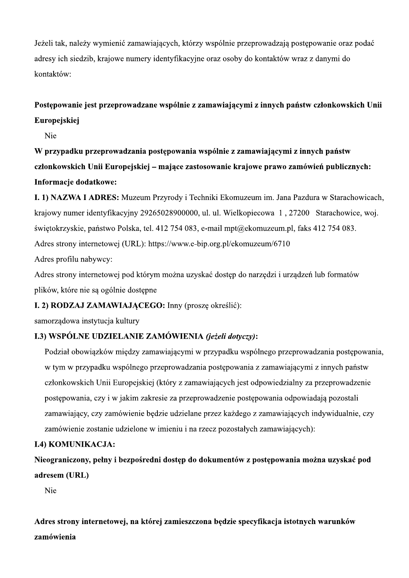Jeżeli tak, należy wymienić zamawiających, którzy wspólnie przeprowadzają postępowanie oraz podać adresy ich siedzib, krajowe numery identyfikacyjne oraz osoby do kontaktów wraz z danymi do kontaktów:

# Postępowanie jest przeprowadzane wspólnie z zamawiającymi z innych państw członkowskich Unii Europejskiej

Nie

W przypadku przeprowadzania postępowania wspólnie z zamawiającymi z innych państw członkowskich Unii Europejskiej – mające zastosowanie krajowe prawo zamówień publicznych: Informacje dodatkowe:

I. 1) NAZWA I ADRES: Muzeum Przyrody i Techniki Ekomuzeum im. Jana Pazdura w Starachowicach, krajowy numer identyfikacyjny 29265028900000, ul. ul. Wielkopiecowa 1, 27200 Starachowice, woj. świętokrzyskie, państwo Polska, tel. 412 754 083, e-mail mpt@ekomuzeum.pl, faks 412 754 083. Adres strony internetowej (URL): https://www.e-bip.org.pl/ekomuzeum/6710

Adres profilu nabywcy:

Adres strony internetowej pod którym można uzyskać dostęp do narzędzi i urządzeń lub formatów plików, które nie są ogólnie dostępne

## I. 2) RODZAJ ZAMAWIAJĄCEGO: Inny (proszę określić):

samorządowa instytucja kultury

## I.3) WSPÓLNE UDZIELANIE ZAMÓWIENIA (jeżeli dotyczy):

Podział obowiązków między zamawiającymi w przypadku wspólnego przeprowadzania postępowania, w tym w przypadku wspólnego przeprowadzania postępowania z zamawiającymi z innych państw członkowskich Unii Europejskiej (który z zamawiających jest odpowiedzialny za przeprowadzenie postępowania, czy i w jakim zakresie za przeprowadzenie postępowania odpowiadają pozostali zamawiający, czy zamówienie będzie udzielane przez każdego z zamawiających indywidualnie, czy zamówienie zostanie udzielone w imieniu i na rzecz pozostałych zamawiających):

## **I.4) KOMUNIKACJA:**

Nieograniczony, pełny i bezpośredni dostęp do dokumentów z postępowania można uzyskać pod adresem (URL)

Nie

Adres strony internetowej, na której zamieszczona będzie specyfikacja istotnych warunków zamówienia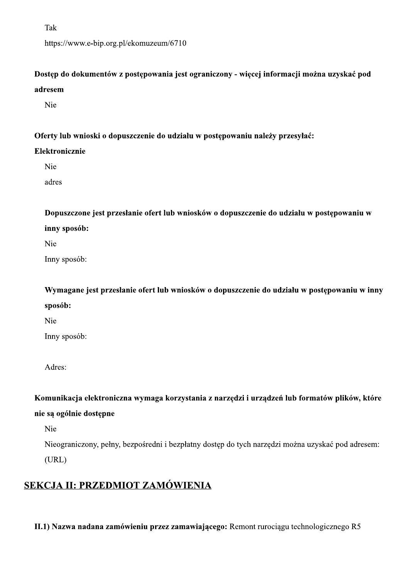Tak https://www.e-bip.org.pl/ekomuzeum/6710

Dostęp do dokumentów z postępowania jest ograniczony - więcej informacji można uzyskać pod adresem

Nie

## Oferty lub wnioski o dopuszczenie do udziału w postępowaniu należy przesyłać:

## Elektronicznie

Nie

adres

Dopuszczone jest przesłanie ofert lub wniosków o dopuszczenie do udziału w postępowaniu w inny sposób:

Nie

Inny sposób:

Wymagane jest przesłanie ofert lub wniosków o dopuszczenie do udziału w postępowaniu w inny sposób:

Nie

Inny sposób:

Adres:

Komunikacja elektroniczna wymaga korzystania z narzędzi i urządzeń lub formatów plików, które

## nie są ogólnie dostępne

Nie

Nieograniczony, pełny, bezpośredni i bezpłatny dostęp do tych narzędzi można uzyskać pod adresem:  $(URL)$ 

# SEKCJA II: PRZEDMIOT ZAMÓWIENIA

II.1) Nazwa nadana zamówieniu przez zamawiającego: Remont rurociągu technologicznego R5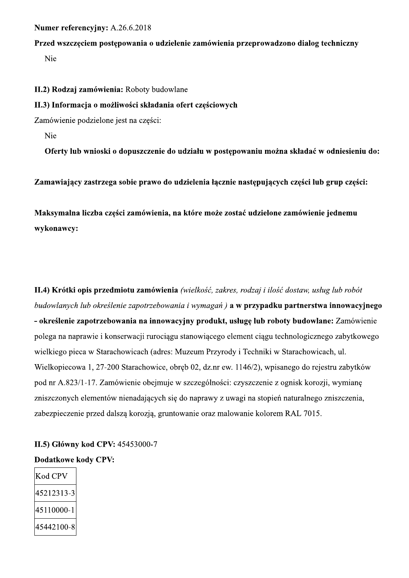## Numer referencyjny: A.26.6.2018

# Przed wszczęciem postępowania o udzielenie zamówienia przeprowadzono dialog techniczny

Nie

II.2) Rodzaj zamówienia: Roboty budowlane

## II.3) Informacja o możliwości składania ofert częściowych

Zamówienie podzielone jest na części:

Nie

Oferty lub wnioski o dopuszczenie do udziału w postępowaniu można składać w odniesieniu do:

Zamawiający zastrzega sobie prawo do udzielenia łącznie następujących części lub grup części:

Maksymalna liczba części zamówienia, na które może zostać udzielone zamówienie jednemu wykonawcy:

II.4) Krótki opis przedmiotu zamówienia (wielkość, zakres, rodzaj i ilość dostaw, usług lub robót budowlanych lub określenie zapotrzebowania i wymagań) a w przypadku partnerstwa innowacyjnego - określenie zapotrzebowania na innowacyjny produkt, usługę lub roboty budowlane: Zamówienie polega na naprawie i konserwacji rurociągu stanowiącego element ciągu technologicznego zabytkowego wielkiego pieca w Starachowicach (adres: Muzeum Przyrody i Techniki w Starachowicach, ul. Wielkopiecowa 1, 27-200 Starachowice, obręb 02, dz.nr ew. 1146/2), wpisanego do rejestru zabytków pod nr A.823/1-17. Zamówienie obejmuje w szczególności: czyszczenie z ognisk korozji, wymianę zniszczonych elementów nienadających się do naprawy z uwagi na stopień naturalnego zniszczenia, zabezpieczenie przed dalszą korozją, gruntowanie oraz malowanie kolorem RAL 7015.

# II.5) Główny kod CPV: 45453000-7 **Dodatkowe kody CPV:**

| Kod CPV    |
|------------|
| 45212313-3 |
| 45110000-1 |
| 45442100-8 |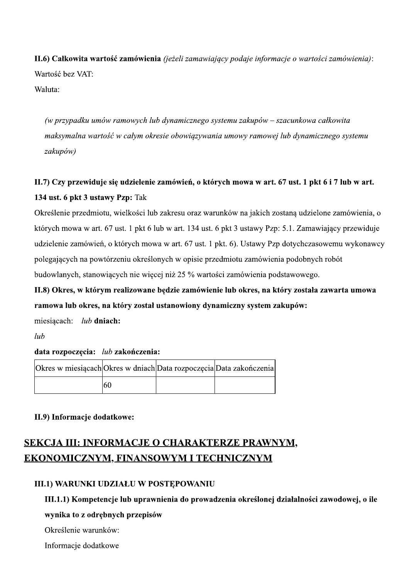11.6) Całkowita wartos **II.6) Calkowita wartość zamówienia** *(jeżeli zamawiający podaje informacje o wartości zamówienia)*:<br>Wartość bez VAT:<br>Waluta:<br>(w przypadku umów ramowych lub dynamicznego systemu zakupów – szacunkowa całkowita<br>maksymalna wa

11.6) Calkowita wartość zamówienia (jeżeli zamawiający podaje informacje o wartości zamówienia):<br>
Waluta:<br>
Waluta:<br>
(w przypadku umów ramowych lub dynamicznego systemu zakupów – szacunkowa całkowita<br>
maksymalna wartość w c

# 11.7) Czy przewiduje się udzielenie zamowien, o ktorych mowa w art. 67 ust. 1 pkt 6 i 7 lub w art. **134 ust. 6 pkt 3 ustawy Pzp:** 1ak

Określenie przedmiotu, wielkości lub zakresu oraz warunków na jakich zostaną udzielone zamówienia, o których mowa w art. 67 ust. 1 pkt 6 lub w art. 134 ust. 6 pkt 3 ustawy Pzp: 5.1. Zamawiający przewiduje udzielenie zamówień, o których mowa w art. 67 ust. 1 pkt. 6). Ustawy Pzp dotychczasowemu wykonawcy polegających na powtórzeniu określonych w opisie przedmiotu zamówienia podobnych robót budowlanych, stanowiących nie więcej niż 25 % wartości zamówienia podstawowego.

11.8) Okres, w którym realizowane będzie zamówienie lub okres, na który została zawarta umowa ramowa lub okres, na ktory został ustanowiony dynamiczny system zakupow:

miesiacach:  $lub$  dniach:

 $luh$ 

# data rozpoczęcia: *Wb* zakonczenia:

| Okres w miesiącach Okres w dniach Data rozpoczęcia Data zakończenia |    |  |
|---------------------------------------------------------------------|----|--|
|                                                                     | 60 |  |

# II.9) Intormacje dodatkowe:

# SEKCJA III: INFORMACJE O CHARAKTERZE PRAWNYM, EKONOMICZNYM, FINANSOWYM I TECHNICZNYM

# III.I) WARUNKI UDZIAŁU W POSTĘPOWANIU

III.I.I) Kompetencje lub uprawnienia do prowadzenia okreslonej działalności zawodowej, o ile

# wynika to z odrębnych przepisow

Określenie warunków:

Informacje dodatkowe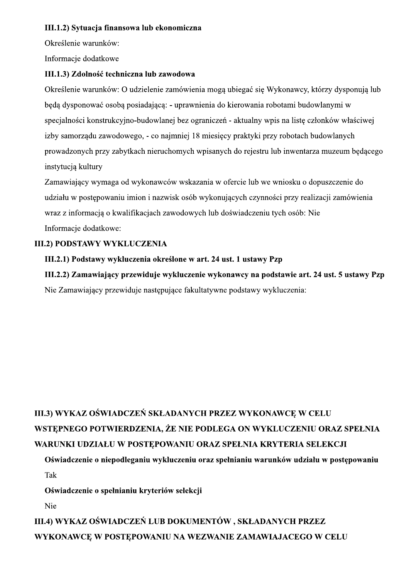## III.1.2) Sytuacja finansowa lub ekonomiczna

Określenie warunków:

Informacje dodatkowe

## III.1.3) Zdolność techniczna lub zawodowa

Określenie warunków: O udzielenie zamówienia mogą ubiegać się Wykonawcy, którzy dysponują lub beda dysponować osoba posiadająca: - uprawnienia do kierowania robotami budowlanymi w specjalności konstrukcyjno-budowlanej bez ograniczeń - aktualny wpis na listę członków właściwej izby samorządu zawodowego, - co najmniej 18 miesięcy praktyki przy robotach budowlanych prowadzonych przy zabytkach nieruchomych wpisanych do rejestru lub inwentarza muzeum będącego instytucją kultury

Zamawiający wymaga od wykonawców wskazania w ofercie lub we wniosku o dopuszczenie do udziału w postępowaniu imion i nazwisk osób wykonujących czynności przy realizacji zamówienia wraz z informacją o kwalifikacjach zawodowych lub doświadczeniu tych osób: Nie Informacje dodatkowe:

## **III.2) PODSTAWY WYKLUCZENIA**

## III.2.1) Podstawy wykluczenia określone w art. 24 ust. 1 ustawy Pzp

III.2.2) Zamawiający przewiduje wykluczenie wykonawcy na podstawie art. 24 ust. 5 ustawy Pzp Nie Zamawiający przewiduje następujące fakultatywne podstawy wykluczenia:

# III.3) WYKAZ OŚWIADCZEŃ SKŁADANYCH PRZEZ WYKONAWCE W CELU WSTEPNEGO POTWIERDZENIA, ŻE NIE PODLEGA ON WYKLUCZENIU ORAZ SPEŁNIA WARUNKI UDZIAŁU W POSTĘPOWANIU ORAZ SPEŁNIA KRYTERIA SELEKCJI

Oświadczenie o niepodleganiu wykluczeniu oraz spełnianiu warunków udziału w postępowaniu Tak

Oświadczenie o spełnianiu kryteriów selekcji

Nie

III.4) WYKAZ OŚWIADCZEŃ LUB DOKUMENTÓW, SKŁADANYCH PRZEZ WYKONAWCE W POSTEPOWANIU NA WEZWANIE ZAMAWIAJACEGO W CELU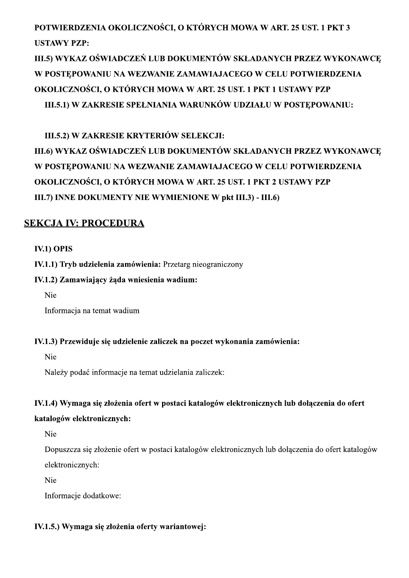# POTWIERDZENIA OKOLICZNOSCI, O KTORYCH MOWA W ART. 25 UST. I PKT 3 USTAWY PZP:

III.5) WYKAZ OSWIADCZEN LUB DOKUMENTOW SKŁADANYCH PRZEZ WYKONAWCĘ W POSTĘPOWANIU NA WEZWANIE ZAMAWIAJACEGO W CELU POTWIERDZENIA OKOLICZNOŚCI, O KTORYCH MOWA W ART. 25 UST. I PKT I USTAWY PZP III.5.I) W ZAKRESIE SPEŁNIANIA WARUNKOW UDZIAŁU W POSTĘPOWANIU:

III.5.2) W ZAKRESIE KRYTERIOW SELEKCJI:

III.6) WYKAZ OSWIADCZEN LUB DOKUMENTOW SKŁADANYCH PRZEZ WYKONAWCĘ W POSTĘPOWANIU NA WEZWANIE ZAMAWIAJACEGO W CELU POTWIERDZENIA OKOLICZNOŚCI, O KTORYCH MOWA W ART. 25 UST. I PKT 2 USTAWY PZP III.7) INNE DOKUMENTY NIE WYMIENIONE W pkt III.3) - III.6) III.5.2) W ZAKRESIE KRYTERIÓW SELEKCJI:<br>III.6) WYKAZ OŚWIADCZEŃ LUB DOKUMENTÓW SKŁADANYCH PR<br>W POSTĘPOWANIU NA WEZWANIE ZAMAWIAJACEGO W CELU POT<br>OKOLICZNOŚCI, O KTÓRYCH MOWA W ART. 25 UST. 1 PKT 2 USTAV<br>III.7) INNE DOKUMEN

## **SEKCJA IV: PROCEDURA**

## $IV.1)$  OPIS

IV.I.I) Tryb udzielenia zamówienia: Przetarg nieograniczony

## IV.1.2) Zamawiający żąda wniesienia wadium:

Nie

Informacja na temat wadium

# IV.1.1) Tryb udzielenia zamówienia: Przetarg nieograniczony<br>
IV.1.2) Zamawiający żąda wniesienia wadium:<br>
Nie<br>
Informacja na temat wadium<br>
IV.1.3) Przewiduje się udzielenie zaliczek na poczet wykonania zamówienia:<br>
Nie<br>
Na

IV.1.3) Przewiduje się udzielenie zaliczek na poczet wykonania zamówienia:<br>
Nie<br>
Należy podać informacje na temat udzielania zaliczek:<br>
IV.1.4) Wymaga się złożenia ofert w postaci katalogów elektronicznych lub dołączenia d

Informacje dodatkowe:

## IV.1.5.) Wymaga się złożenia oferty wariantowej: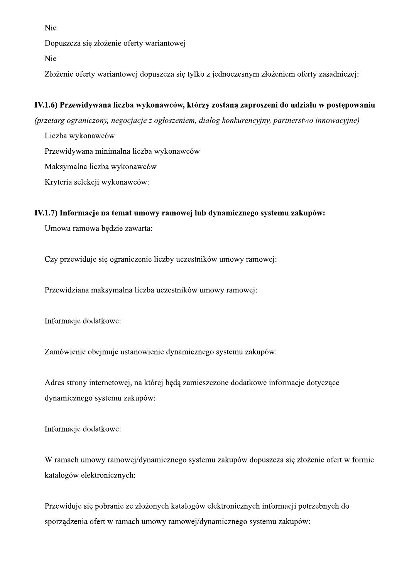Nie

Dopuszcza się złożenie oferty wariantowej

Nie

Złożenie oferty wariantowej dopuszcza się tylko z jednoczesnym złożeniem oferty zasadniczej:

## IV.1.6) Przewidywana liczba wykonawców, którzy zostaną zaproszeni do udziału w postępowaniu

(przetarg ograniczony, negocjacje z ogłoszeniem, dialog konkurencyjny, partnerstwo innowacyjne)

Liczba wykonawców

Przewidywana minimalna liczba wykonawców

Maksymalna liczba wykonawców

Kryteria selekcji wykonawców:

## IV.1.7) Informacje na temat umowy ramowej lub dynamicznego systemu zakupów:

Umowa ramowa będzie zawarta:

Czy przewiduje się ograniczenie liczby uczestników umowy ramowej:

Przewidziana maksymalna liczba uczestników umowy ramowej:

Informacje dodatkowe:

Zamówienie obejmuje ustanowienie dynamicznego systemu zakupów:

Adres strony internetowej, na której będą zamieszczone dodatkowe informacje dotyczące dynamicznego systemu zakupów:

Informacje dodatkowe:

W ramach umowy ramowej/dynamicznego systemu zakupów dopuszcza się złożenie ofert w formie katalogów elektronicznych:

Przewiduje się pobranie ze złożonych katalogów elektronicznych informacji potrzebnych do sporządzenia ofert w ramach umowy ramowej/dynamicznego systemu zakupów: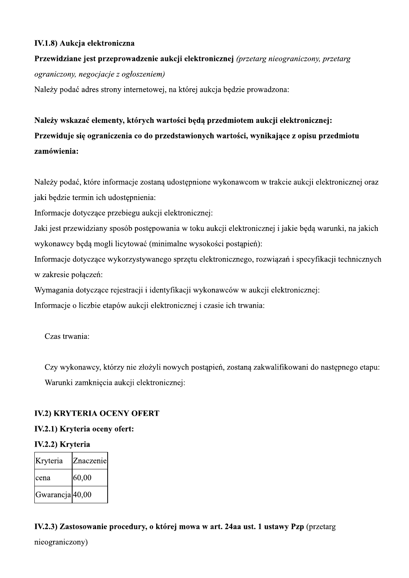## IV.1.8) Aukcja elektroniczna

# Przewidziane jest przeprowadzenie aukcji elektronicznej (przetarg nieograniczony, przetarg ograniczony, negocjacje z ogłoszeniem)

Należy podać adres strony internetowej, na której aukcja będzie prowadzona:

# Należy wskazać elementy, których wartości będą przedmiotem aukcji elektronicznej: Przewiduje się ograniczenia co do przedstawionych wartości, wynikające z opisu przedmiotu zamówienia:

Należy podać, które informacje zostaną udostępnione wykonawcom w trakcie aukcji elektronicznej oraz jaki będzie termin ich udostępnienia:

Informacje dotyczące przebiegu aukcji elektronicznej:

Jaki jest przewidziany sposób postępowania w toku aukcji elektronicznej i jakie będą warunki, na jakich wykonawcy będą mogli licytować (minimalne wysokości postąpień):

Informacje dotyczące wykorzystywanego sprzętu elektronicznego, rozwiązań i specyfikacji technicznych w zakresie połączeń:

Wymagania dotyczące rejestracji i identyfikacji wykonawców w aukcji elektronicznej:

Informacje o liczbie etapów aukcji elektronicznej i czasie ich trwania:

Czas trwania:

Czy wykonawcy, którzy nie złożyli nowych postąpień, zostaną zakwalifikowani do następnego etapu: Warunki zamknięcia aukcji elektronicznej:

## **IV.2) KRYTERIA OCENY OFERT**

## IV.2.1) Kryteria oceny ofert:

## IV.2.2) Kryteria

| Kryteria        | Znaczenie |
|-----------------|-----------|
| cena            | 60,00     |
| Gwarancja 40,00 |           |

## IV.2.3) Zastosowanie procedury, o której mowa w art. 24aa ust. 1 ustawy Pzp (przetarg

nieograniczony)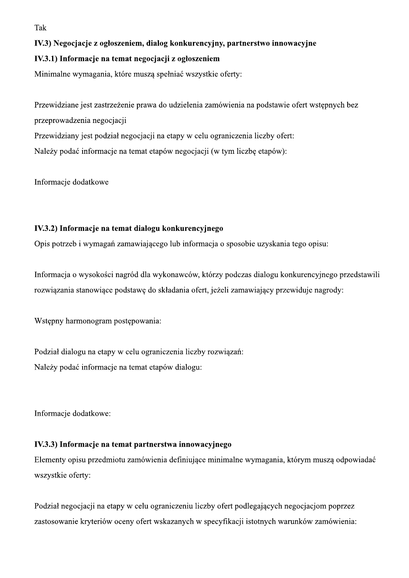Tak

## IV.3) Negocjacje z ogłoszeniem, dialog konkurencyjny, partnerstwo innowacyjne

## IV.3.1) Informacje na temat negocjacji z ogłoszeniem

Minimalne wymagania, które muszą spełniać wszystkie oferty:

Przewidziane jest zastrzeżenie prawa do udzielenia zamówienia na podstawie ofert wstępnych bez przeprowadzenia negocjacji Przewidziany jest podział negocjacji na etapy w celu ograniczenia liczby ofert: Należy podać informacje na temat etapów negocjacji (w tym liczbę etapów):

Informacje dodatkowe

## IV.3.2) Informacje na temat dialogu konkurencyjnego

Opis potrzeb i wymagań zamawiającego lub informacja o sposobie uzyskania tego opisu:

Informacja o wysokości nagród dla wykonawców, którzy podczas dialogu konkurencyjnego przedstawili rozwiązania stanowiące podstawę do składania ofert, jeżeli zamawiający przewiduje nagrody:

Wstępny harmonogram postępowania:

Podział dialogu na etapy w celu ograniczenia liczby rozwiązań: Należy podać informacje na temat etapów dialogu:

Informacje dodatkowe:

## IV.3.3) Informacje na temat partnerstwa innowacyjnego

Elementy opisu przedmiotu zamówienia definiujące minimalne wymagania, którym muszą odpowiadać wszystkie oferty:

Podział negocjacji na etapy w celu ograniczeniu liczby ofert podlegających negocjacjom poprzez zastosowanie kryteriów oceny ofert wskazanych w specyfikacji istotnych warunków zamówienia: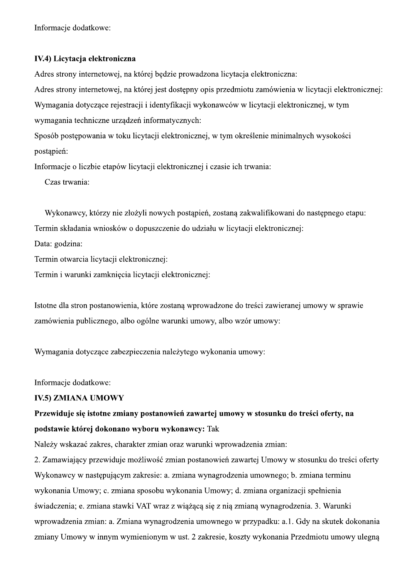Informacje dodatkowe:

## IV.4) Licytacja elektroniczna

Adres strony internetowej, na której będzie prowadzona licytacja elektroniczna:

Adres strony internetowej, na której jest dostępny opis przedmiotu zamówienia w licytacji elektronicznej:

Wymagania dotyczące rejestracji i identyfikacji wykonawców w licytacji elektronicznej, w tym

wymagania techniczne urządzeń informatycznych:

Sposób postępowania w toku licytacji elektronicznej, w tym określenie minimalnych wysokości postąpień:

Informacje o liczbie etapów licytacji elektronicznej i czasie ich trwania:

Czas trwania:

Wykonawcy, którzy nie złożyli nowych postąpień, zostaną zakwalifikowani do następnego etapu: Termin składania wniosków o dopuszczenie do udziału w licytacji elektronicznej:

Data: godzina:

Termin otwarcia licytacji elektronicznej:

Termin i warunki zamknięcia licytacji elektronicznej:

Istotne dla stron postanowienia, które zostaną wprowadzone do treści zawieranej umowy w sprawie zamówienia publicznego, albo ogólne warunki umowy, albo wzór umowy:

Wymagania dotyczące zabezpieczenia należytego wykonania umowy:

Informacje dodatkowe:

## **IV.5) ZMIANA UMOWY**

# Przewiduje się istotne zmiany postanowień zawartej umowy w stosunku do treści oferty, na podstawie której dokonano wyboru wykonawcy: Tak

Należy wskazać zakres, charakter zmian oraz warunki wprowadzenia zmian:

2. Zamawiający przewiduje możliwość zmian postanowień zawartej Umowy w stosunku do treści oferty Wykonawcy w następującym zakresie: a. zmiana wynagrodzenia umownego; b. zmiana terminu wykonania Umowy; c. zmiana sposobu wykonania Umowy; d. zmiana organizacji spełnienia świadczenia; e. zmiana stawki VAT wraz z wiążącą się z nią zmianą wynagrodzenia. 3. Warunki wprowadzenia zmian: a. Zmiana wynagrodzenia umownego w przypadku: a.1. Gdy na skutek dokonania zmiany Umowy w innym wymienionym w ust. 2 zakresie, koszty wykonania Przedmiotu umowy ulegną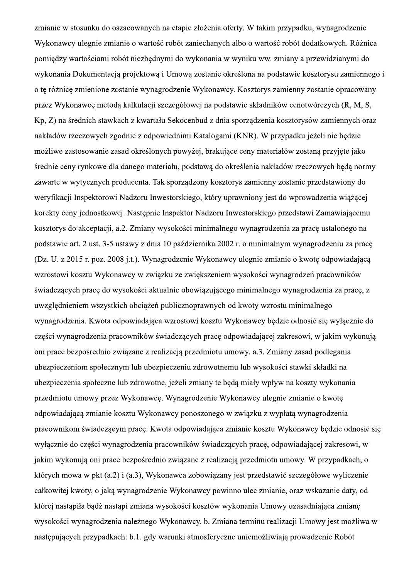zmianie w stosunku do oszacowanych na etapie złożenia oferty. W takim przypadku, wynagrodzenie Wykonawcy ulegnie zmianie o wartość robót zaniechanych albo o wartość robót dodatkowych. Różnica pomiędzy wartościami robót niezbędnymi do wykonania w wyniku ww. zmiany a przewidzianymi do wykonania Dokumentacją projektową i Umową zostanie określona na podstawie kosztorysu zamiennego i o te różnice zmienione zostanie wynagrodzenie Wykonawcy. Kosztorys zamienny zostanie opracowany przez Wykonawce metodą kalkulacji szczegółowej na podstawie składników cenotwórczych (R, M, S, Kp, Z) na średnich stawkach z kwartału Sekocenbud z dnia sporządzenia kosztorysów zamiennych oraz nakładów rzeczowych zgodnie z odpowiednimi Katalogami (KNR). W przypadku jeżeli nie będzie możliwe zastosowanie zasad określonych powyżej, brakujące ceny materiałów zostaną przyjęte jako średnie ceny rynkowe dla danego materiału, podstawą do określenia nakładów rzeczowych będą normy zawarte w wytycznych producenta. Tak sporządzony kosztorys zamienny zostanie przedstawiony do weryfikacji Inspektorowi Nadzoru Inwestorskiego, który uprawniony jest do wprowadzenia wiążącej korekty ceny jednostkowej. Następnie Inspektor Nadzoru Inwestorskiego przedstawi Zamawiającemu kosztorys do akceptacji, a.2. Zmiany wysokości minimalnego wynagrodzenia za pracę ustalonego na podstawie art. 2 ust. 3-5 ustawy z dnia 10 października 2002 r. o minimalnym wynagrodzeniu za pracę (Dz. U. z 2015 r. poz. 2008 j.t.). Wynagrodzenie Wykonawcy ulegnie zmianie o kwotę odpowiadającą wzrostowi kosztu Wykonawcy w związku ze zwiększeniem wysokości wynagrodzeń pracowników świadczących pracę do wysokości aktualnie obowiązującego minimalnego wynagrodzenia za pracę, z uwzględnieniem wszystkich obciążeń publicznoprawnych od kwoty wzrostu minimalnego wynagrodzenia. Kwota odpowiadająca wzrostowi kosztu Wykonawcy będzie odnosić się wyłącznie do części wynagrodzenia pracowników świadczących pracę odpowiadającej zakresowi, w jakim wykonują oni prace bezpośrednio związane z realizacją przedmiotu umowy. a.3. Zmiany zasad podlegania ubezpieczeniom społecznym lub ubezpieczeniu zdrowotnemu lub wysokości stawki składki na ubezpieczenia społeczne lub zdrowotne, jeżeli zmiany te będą miały wpływ na koszty wykonania przedmiotu umowy przez Wykonawcę. Wynagrodzenie Wykonawcy ulegnie zmianie o kwotę odpowiadającą zmianie kosztu Wykonawcy ponoszonego w związku z wypłatą wynagrodzenia pracownikom świadczącym pracę. Kwota odpowiadająca zmianie kosztu Wykonawcy będzie odnosić się wyłącznie do części wynagrodzenia pracowników świadczących pracę, odpowiadającej zakresowi, w jakim wykonują oni prace bezpośrednio związane z realizacją przedmiotu umowy. W przypadkach, o których mowa w pkt (a.2) i (a.3), Wykonawca zobowiązany jest przedstawić szczegółowe wyliczenie całkowitej kwoty, o jaką wynagrodzenie Wykonawcy powinno ulec zmianie, oraz wskazanie daty, od której nastąpiła bądź nastąpi zmiana wysokości kosztów wykonania Umowy uzasadniająca zmianę wysokości wynagrodzenia należnego Wykonawcy. b. Zmiana terminu realizacji Umowy jest możliwa w następujących przypadkach: b.1. gdy warunki atmosferyczne uniemożliwiają prowadzenie Robót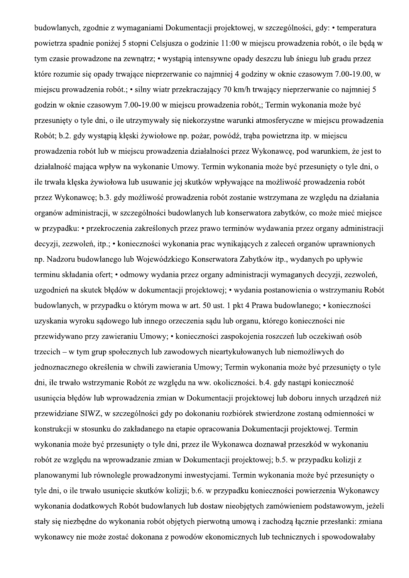budowlanych, zgodnie z wymaganiami Dokumentacji projektowej, w szczególności, gdy: • temperatura powietrza spadnie poniżej 5 stopni Celsiusza o godzinie 11:00 w miejscu prowadzenia robót, o ile będą w tym czasie prowadzone na zewnątrz; • wystąpią intensywne opady deszczu lub śniegu lub gradu przez które rozumie się opady trwające nieprzerwanie co najmniej 4 godziny w oknie czasowym 7.00-19.00, w miejscu prowadzenia robót.; • silny wiatr przekraczający 70 km/h trwający nieprzerwanie co najmniej 5 godzin w oknie czasowym 7.00-19.00 w miejscu prowadzenia robót,; Termin wykonania może być przesunięty o tyle dni, o ile utrzymywały się niekorzystne warunki atmosferyczne w miejscu prowadzenia Robót; b.2. gdy wystąpią klęski żywiołowe np. pożar, powódź, traba powietrzna itp. w miejscu prowadzenia robót lub w miejscu prowadzenia działalności przez Wykonawce, pod warunkiem, że jest to działalność mająca wpływ na wykonanie Umowy. Termin wykonania może być przesuniety o tyle dni, o ile trwała klęska żywiołowa lub usuwanie jej skutków wpływające na możliwość prowadzenia robót przez Wykonawcę; b.3. gdy możliwość prowadzenia robót zostanie wstrzymana ze względu na działania organów administracji, w szczególności budowlanych lub konserwatora zabytków, co może mieć miejsce w przypadku: • przekroczenia zakreślonych przez prawo terminów wydawania przez organy administracji decyzji, zezwoleń, itp.; • konieczności wykonania prac wynikających z zaleceń organów uprawnionych np. Nadzoru budowlanego lub Wojewódzkiego Konserwatora Zabytków itp., wydanych po upływie terminu składania ofert; • odmowy wydania przez organy administracji wymaganych decyzji, zezwoleń, uzgodnień na skutek błędów w dokumentacji projektowej; • wydania postanowienia o wstrzymaniu Robót budowlanych, w przypadku o którym mowa w art. 50 ust. 1 pkt 4 Prawa budowlanego; • konieczności uzyskania wyroku sądowego lub innego orzeczenia sądu lub organu, którego konieczności nie przewidywano przy zawieraniu Umowy; • konieczności zaspokojenia roszczeń lub oczekiwań osób trzecich – w tym grup społecznych lub zawodowych nieartykułowanych lub niemożliwych do jednoznacznego określenia w chwili zawierania Umowy; Termin wykonania może być przesunięty o tyle dni, ile trwało wstrzymanie Robót ze względu na ww. okoliczności. b.4. gdy nastąpi konieczność usunięcia błędów lub wprowadzenia zmian w Dokumentacji projektowej lub doboru innych urządzeń niż przewidziane SIWZ, w szczególności gdy po dokonaniu rozbiórek stwierdzone zostaną odmienności w konstrukcji w stosunku do zakładanego na etapie opracowania Dokumentacji projektowej. Termin wykonania może być przesunięty o tyle dni, przez ile Wykonawca doznawał przeszkód w wykonaniu robót ze względu na wprowadzanie zmian w Dokumentacji projektowej; b.5. w przypadku kolizji z planowanymi lub równolegle prowadzonymi inwestycjami. Termin wykonania może być przesunięty o tyle dni, o ile trwało usunięcie skutków kolizji; b.6. w przypadku konieczności powierzenia Wykonawcy wykonania dodatkowych Robót budowlanych lub dostaw nieobjętych zamówieniem podstawowym, jeżeli stały się niezbędne do wykonania robót objętych pierwotną umową i zachodzą łącznie przesłanki: zmiana wykonawcy nie może zostać dokonana z powodów ekonomicznych lub technicznych i spowodowałaby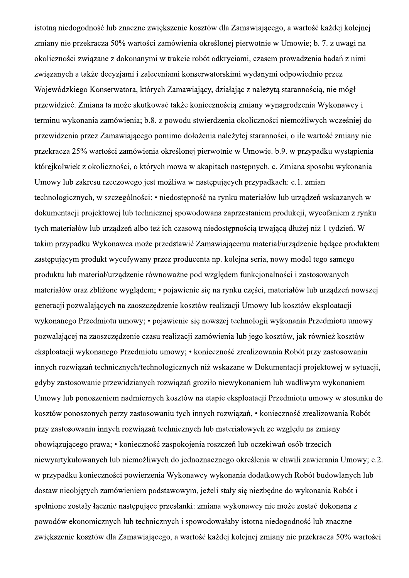istotna niedogodność lub znaczne zwiększenie kosztów dla Zamawiającego, a wartość każdej kolejnej zmiany nie przekracza 50% wartości zamówienia określonej pierwotnie w Umowie; b. 7. z uwagi na okoliczności związane z dokonanymi w trakcie robót odkryciami, czasem prowadzenia badań z nimi związanych a także decyzjami i zaleceniami konserwatorskimi wydanymi odpowiednio przez Wojewódzkiego Konserwatora, których Zamawiający, działając z należytą starannością, nie mógł przewidzieć. Zmiana ta może skutkować także koniecznością zmiany wynagrodzenia Wykonawcy i terminu wykonania zamówienia; b.8. z powodu stwierdzenia okoliczności niemożliwych wcześniej do przewidzenia przez Zamawiającego pomimo dołożenia należytej staranności, o ile wartość zmiany nie przekracza 25% wartości zamówienia określonej pierwotnie w Umowie. b.9. w przypadku wystąpienia którejkolwiek z okoliczności, o których mowa w akapitach następnych. c. Zmiana sposobu wykonania Umowy lub zakresu rzeczowego jest możliwa w następujących przypadkach: c.1. zmian technologicznych, w szczególności: • niedostępność na rynku materiałów lub urządzeń wskazanych w dokumentacji projektowej lub technicznej spowodowana zaprzestaniem produkcji, wycofaniem z rynku tych materiałów lub urządzeń albo też ich czasową niedostępnością trwającą dłużej niż 1 tydzień. W takim przypadku Wykonawca może przedstawić Zamawiającemu materiał/urządzenie będące produktem zastępującym produkt wycofywany przez producenta np. kolejna seria, nowy model tego samego produktu lub materiał/urządzenie równoważne pod względem funkcjonalności i zastosowanych materiałów oraz zbliżone wyglądem; • pojawienie się na rynku części, materiałów lub urządzeń nowszej generacji pozwalających na zaoszczędzenie kosztów realizacji Umowy lub kosztów eksploatacji wykonanego Przedmiotu umowy; • pojawienie się nowszej technologii wykonania Przedmiotu umowy pozwalającej na zaoszczędzenie czasu realizacji zamówienia lub jego kosztów, jak również kosztów eksploatacji wykonanego Przedmiotu umowy; • konieczność zrealizowania Robót przy zastosowaniu innych rozwiązań technicznych/technologicznych niż wskazane w Dokumentacji projektowej w sytuacji, gdyby zastosowanie przewidzianych rozwiązań groziło niewykonaniem lub wadliwym wykonaniem Umowy lub ponoszeniem nadmiernych kosztów na etapie eksploatacji Przedmiotu umowy w stosunku do kosztów ponoszonych perzy zastosowaniu tych innych rozwiązań, • konieczność zrealizowania Robót przy zastosowaniu innych rozwiązań technicznych lub materiałowych ze względu na zmiany obowiązującego prawa; • konieczność zaspokojenia roszczeń lub oczekiwań osób trzecich niewyartykułowanych lub niemożliwych do jednoznacznego określenia w chwili zawierania Umowy; c.2. w przypadku konieczności powierzenia Wykonawcy wykonania dodatkowych Robót budowlanych lub dostaw nieobjętych zamówieniem podstawowym, jeżeli stały się niezbędne do wykonania Robót i spełnione zostały łącznie następujące przesłanki: zmiana wykonawcy nie może zostać dokonana z powodów ekonomicznych lub technicznych i spowodowałaby istotna niedogodność lub znaczne zwiększenie kosztów dla Zamawiającego, a wartość każdej kolejnej zmiany nie przekracza 50% wartości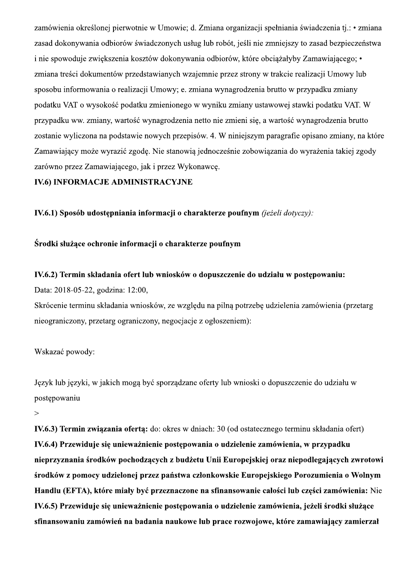zamówienia określonej pierwotnie w Umowie; d. Zmiana organizacji spełniania świadczenia tj.: • zmiana zasad dokonywania odbiorów świadczonych usług lub robót, jeśli nie zmniejszy to zasad bezpieczeństwa i nie spowoduje zwiekszenia kosztów dokonywania odbiorów, które obciażałyby Zamawiającego; • zmiana treści dokumentów przedstawianych wzajemnie przez strony w trakcie realizacji Umowy lub sposobu informowania o realizacji Umowy; e. zmiana wynagrodzenia brutto w przypadku zmiany podatku VAT o wysokość podatku zmienionego w wyniku zmiany ustawowej stawki podatku VAT. W przypadku ww. zmiany, wartość wynagrodzenia netto nie zmieni się, a wartość wynagrodzenia brutto zostanie wyliczona na podstawie nowych przepisów. 4. W niniejszym paragrafie opisano zmiany, na które Zamawiający może wyrazić zgodę. Nie stanowią jednocześnie zobowiązania do wyrażenia takiej zgody zarówno przez Zamawiającego, jak i przez Wykonawcę.

## **IV.6) INFORMACJE ADMINISTRACYJNE**

IV.6.1) Sposób udostępniania informacji o charakterze poufnym (jeżeli dotyczy):

## Środki służące ochronie informacji o charakterze poufnym

## IV.6.2) Termin składania ofert lub wniosków o dopuszczenie do udziału w postepowaniu:

Data: 2018-05-22, godzina: 12:00,

Skrócenie terminu składania wniosków, ze względu na pilną potrzebę udzielenia zamówienia (przetarg nieograniczony, przetarg ograniczony, negocjacje z ogłoszeniem):

## Wskazać powody:

Język lub języki, w jakich mogą być sporządzane oferty lub wnioski o dopuszczenie do udziału w postępowaniu

 $\geq$ 

IV.6.3) Termin związania ofertą: do: okres w dniach: 30 (od ostatecznego terminu składania ofert) IV.6.4) Przewiduje się unieważnienie postępowania o udzielenie zamówienia, w przypadku nieprzyznania środków pochodzących z budżetu Unii Europejskiej oraz niepodlegających zwrotowi środków z pomocy udzielonej przez państwa członkowskie Europejskiego Porozumienia o Wolnym Handlu (EFTA), które miały być przeznaczone na sfinansowanie całości lub części zamówienia: Nie IV.6.5) Przewiduje się unieważnienie postępowania o udzielenie zamówienia, jeżeli środki służące sfinansowaniu zamówień na badania naukowe lub prace rozwojowe, które zamawiający zamierzał